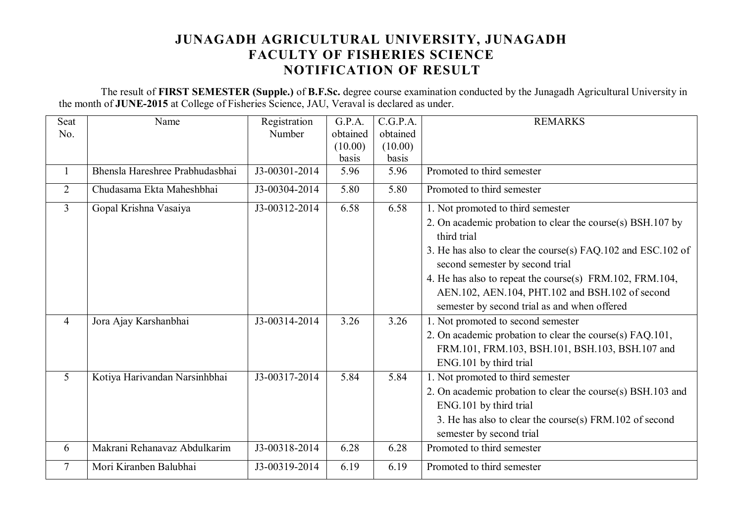## **JUNAGADH AGRICULTURAL UNIVERSITY, JUNAGADH FACULTY OF FISHERIES SCIENCE NOTIFICATION OF RESULT**

 The result of **FIRST SEMESTER (Supple.)** of **B.F.Sc.** degree course examination conducted by the Junagadh Agricultural University in the month of **JUNE-2015** at College of Fisheries Science, JAU, Veraval is declared as under.

| Seat           | Name                            | Registration  | G.P.A.   | C.G.P.A. | <b>REMARKS</b>                                                                                  |
|----------------|---------------------------------|---------------|----------|----------|-------------------------------------------------------------------------------------------------|
| No.            |                                 | Number        | obtained | obtained |                                                                                                 |
|                |                                 |               | (10.00)  | (10.00)  |                                                                                                 |
|                |                                 |               | basis    | basis    |                                                                                                 |
| $\mathbf{1}$   | Bhensla Hareshree Prabhudasbhai | J3-00301-2014 | 5.96     | 5.96     | Promoted to third semester                                                                      |
| $\overline{2}$ | Chudasama Ekta Maheshbhai       | J3-00304-2014 | 5.80     | 5.80     | Promoted to third semester                                                                      |
| $\overline{3}$ | Gopal Krishna Vasaiya           | J3-00312-2014 | 6.58     | 6.58     | 1. Not promoted to third semester                                                               |
|                |                                 |               |          |          | 2. On academic probation to clear the course(s) BSH.107 by                                      |
|                |                                 |               |          |          | third trial                                                                                     |
|                |                                 |               |          |          | 3. He has also to clear the course(s) FAQ.102 and ESC.102 of<br>second semester by second trial |
|                |                                 |               |          |          | 4. He has also to repeat the course(s) FRM.102, FRM.104,                                        |
|                |                                 |               |          |          | AEN.102, AEN.104, PHT.102 and BSH.102 of second                                                 |
|                |                                 |               |          |          | semester by second trial as and when offered                                                    |
| $\overline{4}$ | Jora Ajay Karshanbhai           | J3-00314-2014 | 3.26     | 3.26     | 1. Not promoted to second semester                                                              |
|                |                                 |               |          |          | 2. On academic probation to clear the course(s) FAQ.101,                                        |
|                |                                 |               |          |          | FRM.101, FRM.103, BSH.101, BSH.103, BSH.107 and                                                 |
|                |                                 |               |          |          | ENG.101 by third trial                                                                          |
| 5              | Kotiya Harivandan Narsinhbhai   | J3-00317-2014 | 5.84     | 5.84     | 1. Not promoted to third semester                                                               |
|                |                                 |               |          |          | 2. On academic probation to clear the course(s) BSH.103 and                                     |
|                |                                 |               |          |          | ENG.101 by third trial                                                                          |
|                |                                 |               |          |          | 3. He has also to clear the course(s) FRM.102 of second                                         |
|                |                                 |               |          |          | semester by second trial                                                                        |
| 6              | Makrani Rehanavaz Abdulkarim    | J3-00318-2014 | 6.28     | 6.28     | Promoted to third semester                                                                      |
| $\tau$         | Mori Kiranben Balubhai          | J3-00319-2014 | 6.19     | 6.19     | Promoted to third semester                                                                      |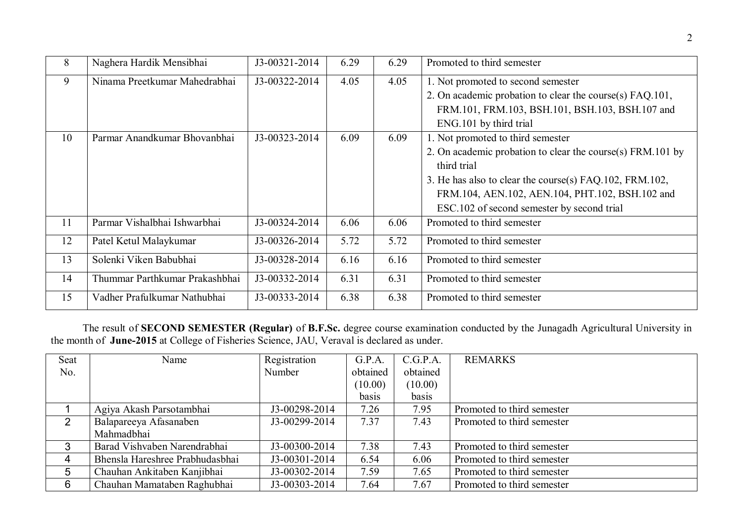| 8  | Naghera Hardik Mensibhai       | J3-00321-2014 | 6.29 | 6.29 | Promoted to third semester                                 |
|----|--------------------------------|---------------|------|------|------------------------------------------------------------|
| 9  | Ninama Preetkumar Mahedrabhai  | J3-00322-2014 | 4.05 | 4.05 | 1. Not promoted to second semester                         |
|    |                                |               |      |      | 2. On academic probation to clear the course(s) FAQ.101,   |
|    |                                |               |      |      | FRM.101, FRM.103, BSH.101, BSH.103, BSH.107 and            |
|    |                                |               |      |      | ENG.101 by third trial                                     |
| 10 | Parmar Anandkumar Bhovanbhai   | J3-00323-2014 | 6.09 | 6.09 | 1. Not promoted to third semester                          |
|    |                                |               |      |      | 2. On academic probation to clear the course(s) FRM.101 by |
|    |                                |               |      |      | third trial                                                |
|    |                                |               |      |      | 3. He has also to clear the course(s) FAQ.102, FRM.102,    |
|    |                                |               |      |      | FRM.104, AEN.102, AEN.104, PHT.102, BSH.102 and            |
|    |                                |               |      |      | ESC.102 of second semester by second trial                 |
| 11 | Parmar Vishalbhai Ishwarbhai   | J3-00324-2014 | 6.06 | 6.06 | Promoted to third semester                                 |
| 12 | Patel Ketul Malaykumar         | J3-00326-2014 | 5.72 | 5.72 | Promoted to third semester                                 |
| 13 | Solenki Viken Babubhai         | J3-00328-2014 | 6.16 | 6.16 | Promoted to third semester                                 |
| 14 | Thummar Parthkumar Prakashbhai | J3-00332-2014 | 6.31 | 6.31 | Promoted to third semester                                 |
| 15 | Vadher Prafulkumar Nathubhai   | J3-00333-2014 | 6.38 | 6.38 | Promoted to third semester                                 |

The result of **SECOND SEMESTER (Regular)** of **B.F.Sc.** degree course examination conducted by the Junagadh Agricultural University in the month of **June-2015** at College of Fisheries Science, JAU, Veraval is declared as under.

| Seat | Name                            | Registration  | G.P.A.   | C.G.P.A. | <b>REMARKS</b>             |
|------|---------------------------------|---------------|----------|----------|----------------------------|
| No.  |                                 | Number        | obtained | obtained |                            |
|      |                                 |               | (10.00)  | (10.00)  |                            |
|      |                                 |               | basis    | basis    |                            |
|      | Agiya Akash Parsotambhai        | J3-00298-2014 | 7.26     | 7.95     | Promoted to third semester |
| 2    | Balapareeya Afasanaben          | J3-00299-2014 | 7.37     | 7.43     | Promoted to third semester |
|      | Mahmadbhai                      |               |          |          |                            |
| 3    | Barad Vishvaben Narendrabhai    | J3-00300-2014 | 7.38     | 7.43     | Promoted to third semester |
| 4    | Bhensla Hareshree Prabhudasbhai | J3-00301-2014 | 6.54     | 6.06     | Promoted to third semester |
| 5    | Chauhan Ankitaben Kanjibhai     | J3-00302-2014 | 7.59     | 7.65     | Promoted to third semester |
| 6    | Chauhan Mamataben Raghubhai     | J3-00303-2014 | 7.64     | 7.67     | Promoted to third semester |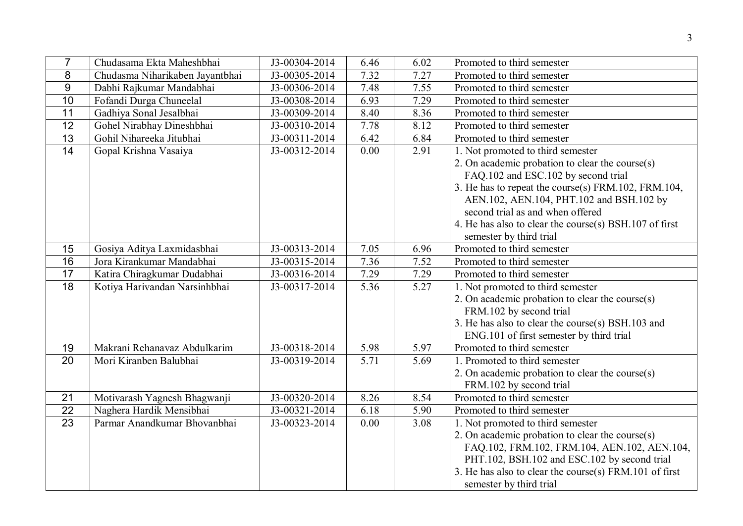| $\overline{7}$  | Chudasama Ekta Maheshbhai       | J3-00304-2014               | 6.46 | 6.02 | Promoted to third semester                             |
|-----------------|---------------------------------|-----------------------------|------|------|--------------------------------------------------------|
| 8               | Chudasma Niharikaben Jayantbhai | $\overline{J3-0030}$ 5-2014 | 7.32 | 7.27 | Promoted to third semester                             |
| 9               | Dabhi Rajkumar Mandabhai        | J3-00306-2014               | 7.48 | 7.55 | Promoted to third semester                             |
| 10              | Fofandi Durga Chuneelal         | J3-00308-2014               | 6.93 | 7.29 | Promoted to third semester                             |
| $\overline{11}$ | Gadhiya Sonal Jesalbhai         | J3-00309-2014               | 8.40 | 8.36 | Promoted to third semester                             |
| $\overline{12}$ | Gohel Nirabhay Dineshbhai       | J3-00310-2014               | 7.78 | 8.12 | Promoted to third semester                             |
| 13              | Gohil Nihareeka Jitubhai        | J3-00311-2014               | 6.42 | 6.84 | Promoted to third semester                             |
| 14              | Gopal Krishna Vasaiya           | J3-00312-2014               | 0.00 | 2.91 | 1. Not promoted to third semester                      |
|                 |                                 |                             |      |      | 2. On academic probation to clear the course $(s)$     |
|                 |                                 |                             |      |      | FAQ.102 and ESC.102 by second trial                    |
|                 |                                 |                             |      |      | 3. He has to repeat the course(s) FRM.102, FRM.104,    |
|                 |                                 |                             |      |      | AEN.102, AEN.104, PHT.102 and BSH.102 by               |
|                 |                                 |                             |      |      | second trial as and when offered                       |
|                 |                                 |                             |      |      | 4. He has also to clear the course(s) BSH.107 of first |
|                 |                                 |                             |      |      | semester by third trial                                |
| 15              | Gosiya Aditya Laxmidasbhai      | J3-00313-2014               | 7.05 | 6.96 | Promoted to third semester                             |
| 16              | Jora Kirankumar Mandabhai       | J3-00315-2014               | 7.36 | 7.52 | Promoted to third semester                             |
| $\overline{17}$ | Katira Chiragkumar Dudabhai     | J3-00316-2014               | 7.29 | 7.29 | Promoted to third semester                             |
| 18              | Kotiya Harivandan Narsinhbhai   | J3-00317-2014               | 5.36 | 5.27 | 1. Not promoted to third semester                      |
|                 |                                 |                             |      |      | 2. On academic probation to clear the course(s)        |
|                 |                                 |                             |      |      | FRM.102 by second trial                                |
|                 |                                 |                             |      |      | 3. He has also to clear the course(s) BSH.103 and      |
|                 |                                 |                             |      |      | ENG.101 of first semester by third trial               |
| 19              | Makrani Rehanavaz Abdulkarim    | J3-00318-2014               | 5.98 | 5.97 | Promoted to third semester                             |
| 20              | Mori Kiranben Balubhai          | J3-00319-2014               | 5.71 | 5.69 | 1. Promoted to third semester                          |
|                 |                                 |                             |      |      | 2. On academic probation to clear the course(s)        |
|                 |                                 |                             |      |      | FRM.102 by second trial                                |
| 21              | Motivarash Yagnesh Bhagwanji    | J3-00320-2014               | 8.26 | 8.54 | Promoted to third semester                             |
| $\overline{22}$ | Naghera Hardik Mensibhai        | J3-00321-2014               | 6.18 | 5.90 | Promoted to third semester                             |
| 23              | Parmar Anandkumar Bhovanbhai    | J3-00323-2014               | 0.00 | 3.08 | 1. Not promoted to third semester                      |
|                 |                                 |                             |      |      | 2. On academic probation to clear the course $(s)$     |
|                 |                                 |                             |      |      | FAQ.102, FRM.102, FRM.104, AEN.102, AEN.104,           |
|                 |                                 |                             |      |      | PHT.102, BSH.102 and ESC.102 by second trial           |
|                 |                                 |                             |      |      | 3. He has also to clear the course(s) FRM.101 of first |
|                 |                                 |                             |      |      | semester by third trial                                |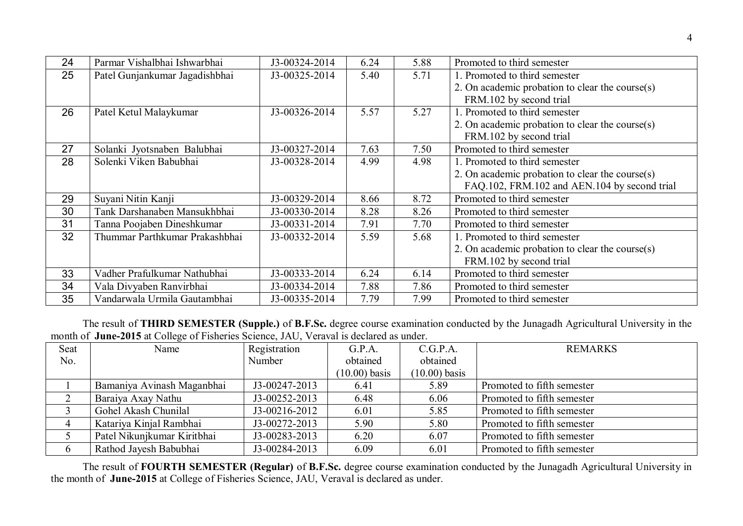| 24 | Parmar Vishalbhai Ishwarbhai   | J3-00324-2014 | 6.24 | 5.88 | Promoted to third semester                         |
|----|--------------------------------|---------------|------|------|----------------------------------------------------|
| 25 | Patel Gunjankumar Jagadishbhai | J3-00325-2014 | 5.40 | 5.71 | 1. Promoted to third semester                      |
|    |                                |               |      |      | 2. On academic probation to clear the course $(s)$ |
|    |                                |               |      |      | FRM.102 by second trial                            |
| 26 | Patel Ketul Malaykumar         | J3-00326-2014 | 5.57 | 5.27 | 1. Promoted to third semester                      |
|    |                                |               |      |      | 2. On academic probation to clear the course(s)    |
|    |                                |               |      |      | FRM.102 by second trial                            |
| 27 | Solanki Jyotsnaben Balubhai    | J3-00327-2014 | 7.63 | 7.50 | Promoted to third semester                         |
| 28 | Solenki Viken Babubhai         | J3-00328-2014 | 4.99 | 4.98 | 1. Promoted to third semester                      |
|    |                                |               |      |      | 2. On academic probation to clear the course $(s)$ |
|    |                                |               |      |      | FAQ.102, FRM.102 and AEN.104 by second trial       |
| 29 | Suyani Nitin Kanji             | J3-00329-2014 | 8.66 | 8.72 | Promoted to third semester                         |
| 30 | Tank Darshanaben Mansukhbhai   | J3-00330-2014 | 8.28 | 8.26 | Promoted to third semester                         |
| 31 | Tanna Poojaben Dineshkumar     | J3-00331-2014 | 7.91 | 7.70 | Promoted to third semester                         |
| 32 | Thummar Parthkumar Prakashbhai | J3-00332-2014 | 5.59 | 5.68 | 1. Promoted to third semester                      |
|    |                                |               |      |      | 2. On academic probation to clear the course $(s)$ |
|    |                                |               |      |      | FRM.102 by second trial                            |
| 33 | Vadher Prafulkumar Nathubhai   | J3-00333-2014 | 6.24 | 6.14 | Promoted to third semester                         |
| 34 | Vala Divyaben Ranvirbhai       | J3-00334-2014 | 7.88 | 7.86 | Promoted to third semester                         |
| 35 | Vandarwala Urmila Gautambhai   | J3-00335-2014 | 7.79 | 7.99 | Promoted to third semester                         |

The result of **THIRD SEMESTER (Supple.)** of **B.F.Sc.** degree course examination conducted by the Junagadh Agricultural University in the month of **June-2015** at College of Fisheries Science, JAU, Veraval is declared as under.

| Seat | Name                        | Registration    | G.P.A.          | C.G.P.A.        | <b>REMARKS</b>             |
|------|-----------------------------|-----------------|-----------------|-----------------|----------------------------|
| No.  |                             | Number          | obtained        | obtained        |                            |
|      |                             |                 | $(10.00)$ basis | $(10.00)$ basis |                            |
|      | Bamaniya Avinash Maganbhai  | J3-00247-2013   | 6.41            | 5.89            | Promoted to fifth semester |
|      | Baraiya Axay Nathu          | $J3-00252-2013$ | 6.48            | 6.06            | Promoted to fifth semester |
|      | Gohel Akash Chunilal        | J3-00216-2012   | 6.01            | 5.85            | Promoted to fifth semester |
|      | Katariya Kinjal Rambhai     | J3-00272-2013   | 5.90            | 5.80            | Promoted to fifth semester |
|      | Patel Nikunjkumar Kiritbhai | J3-00283-2013   | 6.20            | 6.07            | Promoted to fifth semester |
|      | Rathod Jayesh Babubhai      | J3-00284-2013   | 6.09            | 6.01            | Promoted to fifth semester |

The result of **FOURTH SEMESTER (Regular)** of **B.F.Sc.** degree course examination conducted by the Junagadh Agricultural University in the month of **June-2015** at College of Fisheries Science, JAU, Veraval is declared as under.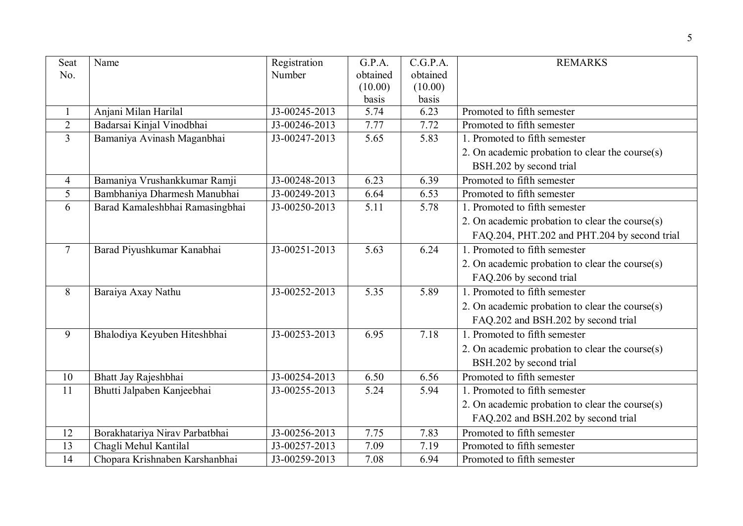| Seat<br>No.     | Name                            | Registration<br>Number | G.P.A.<br>obtained | C.G.P.A.<br>obtained | <b>REMARKS</b>                                  |
|-----------------|---------------------------------|------------------------|--------------------|----------------------|-------------------------------------------------|
|                 |                                 |                        | (10.00)            | (10.00)              |                                                 |
|                 |                                 |                        | basis              | basis                |                                                 |
| $\mathbf{1}$    | Anjani Milan Harilal            | J3-00245-2013          | 5.74               | 6.23                 | Promoted to fifth semester                      |
| $\overline{2}$  | Badarsai Kinjal Vinodbhai       | J3-00246-2013          | 7.77               | 7.72                 | Promoted to fifth semester                      |
| $\overline{3}$  | Bamaniya Avinash Maganbhai      | J3-00247-2013          | 5.65               | 5.83                 | 1. Promoted to fifth semester                   |
|                 |                                 |                        |                    |                      | 2. On academic probation to clear the course(s) |
|                 |                                 |                        |                    |                      | BSH.202 by second trial                         |
| $\overline{4}$  | Bamaniya Vrushankkumar Ramji    | J3-00248-2013          | 6.23               | 6.39                 | Promoted to fifth semester                      |
| 5               | Bambhaniya Dharmesh Manubhai    | J3-00249-2013          | 6.64               | 6.53                 | Promoted to fifth semester                      |
| 6               | Barad Kamaleshbhai Ramasingbhai | J3-00250-2013          | 5.11               | 5.78                 | 1. Promoted to fifth semester                   |
|                 |                                 |                        |                    |                      | 2. On academic probation to clear the course(s) |
|                 |                                 |                        |                    |                      | FAQ.204, PHT.202 and PHT.204 by second trial    |
| $\tau$          | Barad Piyushkumar Kanabhai      | J3-00251-2013          | 5.63               | 6.24                 | 1. Promoted to fifth semester                   |
|                 |                                 |                        |                    |                      | 2. On academic probation to clear the course(s) |
|                 |                                 |                        |                    |                      | FAQ.206 by second trial                         |
| 8               | Baraiya Axay Nathu              | J3-00252-2013          | 5.35               | 5.89                 | 1. Promoted to fifth semester                   |
|                 |                                 |                        |                    |                      | 2. On academic probation to clear the course(s) |
|                 |                                 |                        |                    |                      | FAQ.202 and BSH.202 by second trial             |
| 9               | Bhalodiya Keyuben Hiteshbhai    | J3-00253-2013          | 6.95               | 7.18                 | 1. Promoted to fifth semester                   |
|                 |                                 |                        |                    |                      | 2. On academic probation to clear the course(s) |
|                 |                                 |                        |                    |                      | BSH.202 by second trial                         |
| 10              | Bhatt Jay Rajeshbhai            | J3-00254-2013          | 6.50               | 6.56                 | Promoted to fifth semester                      |
| $\overline{11}$ | Bhutti Jalpaben Kanjeebhai      | J3-00255-2013          | 5.24               | 5.94                 | 1. Promoted to fifth semester                   |
|                 |                                 |                        |                    |                      | 2. On academic probation to clear the course(s) |
|                 |                                 |                        |                    |                      | FAQ.202 and BSH.202 by second trial             |
| 12              | Borakhatariya Nirav Parbatbhai  | J3-00256-2013          | 7.75               | 7.83                 | Promoted to fifth semester                      |
| 13              | Chagli Mehul Kantilal           | J3-00257-2013          | 7.09               | 7.19                 | Promoted to fifth semester                      |
| $\overline{14}$ | Chopara Krishnaben Karshanbhai  | J3-00259-2013          | 7.08               | 6.94                 | Promoted to fifth semester                      |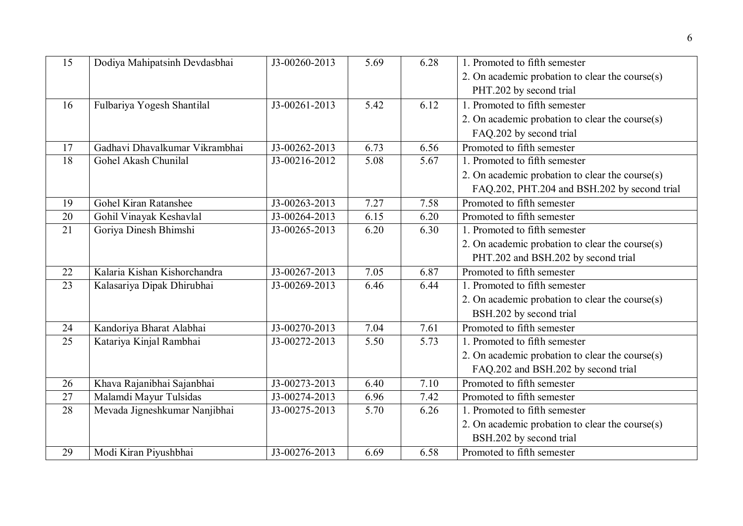| 15              | Dodiya Mahipatsinh Devdasbhai  | J3-00260-2013 | 5.69 | 6.28 | 1. Promoted to fifth semester                   |
|-----------------|--------------------------------|---------------|------|------|-------------------------------------------------|
|                 |                                |               |      |      | 2. On academic probation to clear the course(s) |
|                 |                                |               |      |      | PHT.202 by second trial                         |
| 16              | Fulbariya Yogesh Shantilal     | J3-00261-2013 | 5.42 | 6.12 | 1. Promoted to fifth semester                   |
|                 |                                |               |      |      | 2. On academic probation to clear the course(s) |
|                 |                                |               |      |      | FAQ.202 by second trial                         |
| 17              | Gadhavi Dhavalkumar Vikrambhai | J3-00262-2013 | 6.73 | 6.56 | Promoted to fifth semester                      |
| $\overline{18}$ | Gohel Akash Chunilal           | J3-00216-2012 | 5.08 | 5.67 | 1. Promoted to fifth semester                   |
|                 |                                |               |      |      | 2. On academic probation to clear the course(s) |
|                 |                                |               |      |      | FAQ.202, PHT.204 and BSH.202 by second trial    |
| 19              | <b>Gohel Kiran Ratanshee</b>   | J3-00263-2013 | 7.27 | 7.58 | Promoted to fifth semester                      |
| 20              | Gohil Vinayak Keshavlal        | J3-00264-2013 | 6.15 | 6.20 | Promoted to fifth semester                      |
| 21              | Goriya Dinesh Bhimshi          | J3-00265-2013 | 6.20 | 6.30 | 1. Promoted to fifth semester                   |
|                 |                                |               |      |      | 2. On academic probation to clear the course(s) |
|                 |                                |               |      |      | PHT.202 and BSH.202 by second trial             |
| 22              | Kalaria Kishan Kishorchandra   | J3-00267-2013 | 7.05 | 6.87 | Promoted to fifth semester                      |
| 23              | Kalasariya Dipak Dhirubhai     | J3-00269-2013 | 6.46 | 6.44 | 1. Promoted to fifth semester                   |
|                 |                                |               |      |      | 2. On academic probation to clear the course(s) |
|                 |                                |               |      |      | BSH.202 by second trial                         |
| 24              | Kandoriya Bharat Alabhai       | J3-00270-2013 | 7.04 | 7.61 | Promoted to fifth semester                      |
| 25              | Katariya Kinjal Rambhai        | J3-00272-2013 | 5.50 | 5.73 | 1. Promoted to fifth semester                   |
|                 |                                |               |      |      | 2. On academic probation to clear the course(s) |
|                 |                                |               |      |      | FAQ.202 and BSH.202 by second trial             |
| 26              | Khava Rajanibhai Sajanbhai     | J3-00273-2013 | 6.40 | 7.10 | Promoted to fifth semester                      |
| 27              | Malamdi Mayur Tulsidas         | J3-00274-2013 | 6.96 | 7.42 | Promoted to fifth semester                      |
| 28              | Mevada Jigneshkumar Nanjibhai  | J3-00275-2013 | 5.70 | 6.26 | 1. Promoted to fifth semester                   |
|                 |                                |               |      |      | 2. On academic probation to clear the course(s) |
|                 |                                |               |      |      | BSH.202 by second trial                         |
| 29              | Modi Kiran Piyushbhai          | J3-00276-2013 | 6.69 | 6.58 | Promoted to fifth semester                      |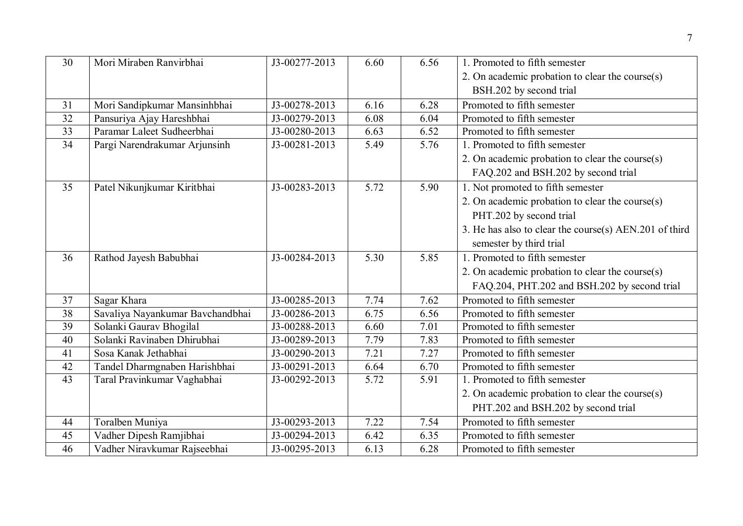| 30              | Mori Miraben Ranvirbhai          | J3-00277-2013               | 6.60 | 6.56 | 1. Promoted to fifth semester                          |
|-----------------|----------------------------------|-----------------------------|------|------|--------------------------------------------------------|
|                 |                                  |                             |      |      | 2. On academic probation to clear the course(s)        |
|                 |                                  |                             |      |      | BSH.202 by second trial                                |
| 31              | Mori Sandipkumar Mansinhbhai     | J3-00278-2013               | 6.16 | 6.28 | Promoted to fifth semester                             |
| 32              | Pansuriya Ajay Hareshbhai        | J3-00279-2013               | 6.08 | 6.04 | Promoted to fifth semester                             |
| 33              | Paramar Laleet Sudheerbhai       | J3-00280-2013               | 6.63 | 6.52 | Promoted to fifth semester                             |
| 34              | Pargi Narendrakumar Arjunsinh    | J3-00281-2013               | 5.49 | 5.76 | 1. Promoted to fifth semester                          |
|                 |                                  |                             |      |      | 2. On academic probation to clear the course(s)        |
|                 |                                  |                             |      |      | FAQ.202 and BSH.202 by second trial                    |
| 35              | Patel Nikunjkumar Kiritbhai      | J3-00283-2013               | 5.72 | 5.90 | 1. Not promoted to fifth semester                      |
|                 |                                  |                             |      |      | 2. On academic probation to clear the course(s)        |
|                 |                                  |                             |      |      | PHT.202 by second trial                                |
|                 |                                  |                             |      |      | 3. He has also to clear the course(s) AEN.201 of third |
|                 |                                  |                             |      |      | semester by third trial                                |
| 36              | Rathod Jayesh Babubhai           | J3-00284-2013               | 5.30 | 5.85 | 1. Promoted to fifth semester                          |
|                 |                                  |                             |      |      | 2. On academic probation to clear the course(s)        |
|                 |                                  |                             |      |      | FAQ.204, PHT.202 and BSH.202 by second trial           |
| 37              | Sagar Khara                      | J3-00285-2013               | 7.74 | 7.62 | Promoted to fifth semester                             |
| 38              | Savaliya Nayankumar Bavchandbhai | J3-00286-2013               | 6.75 | 6.56 | Promoted to fifth semester                             |
| $\overline{39}$ | Solanki Gaurav Bhogilal          | J3-00288-2013               | 6.60 | 7.01 | Promoted to fifth semester                             |
| 40              | Solanki Ravinaben Dhirubhai      | J3-00289-2013               | 7.79 | 7.83 | Promoted to fifth semester                             |
| 41              | Sosa Kanak Jethabhai             | J3-00290-2013               | 7.21 | 7.27 | Promoted to fifth semester                             |
| 42              | Tandel Dharmgnaben Harishbhai    | $\overline{J3}$ -00291-2013 | 6.64 | 6.70 | Promoted to fifth semester                             |
| 43              | Taral Pravinkumar Vaghabhai      | J3-00292-2013               | 5.72 | 5.91 | 1. Promoted to fifth semester                          |
|                 |                                  |                             |      |      | 2. On academic probation to clear the course $(s)$     |
|                 |                                  |                             |      |      | PHT.202 and BSH.202 by second trial                    |
| 44              | Toralben Muniya                  | J3-00293-2013               | 7.22 | 7.54 | Promoted to fifth semester                             |
| 45              | Vadher Dipesh Ramjibhai          | J3-00294-2013               | 6.42 | 6.35 | Promoted to fifth semester                             |
| 46              | Vadher Niravkumar Rajseebhai     | J3-00295-2013               | 6.13 | 6.28 | Promoted to fifth semester                             |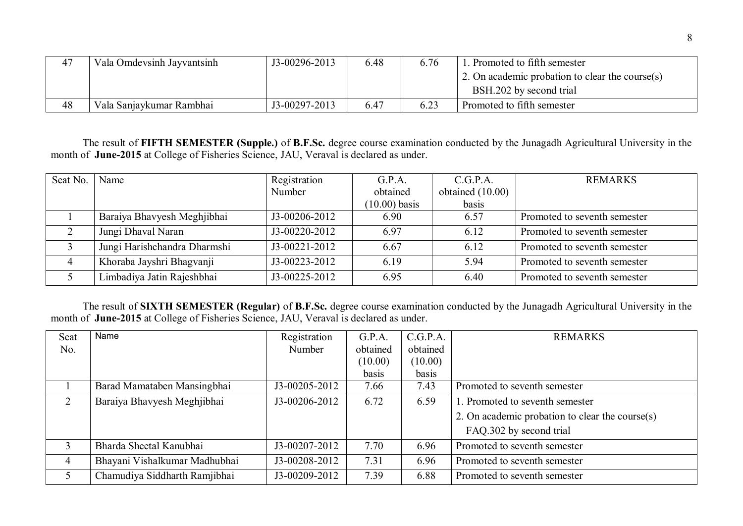| 47 | Vala Omdevsinh Jayvantsinh | J3-00296-2013 | 6.48 | 6.76 | . Promoted to fifth semester                            |
|----|----------------------------|---------------|------|------|---------------------------------------------------------|
|    |                            |               |      |      | $\vert$ 2. On academic probation to clear the course(s) |
|    |                            |               |      |      | BSH.202 by second trial                                 |
| 48 | Vala Sanjaykumar Rambhai   | J3-00297-2013 | 6.47 | 6.23 | Promoted to fifth semester                              |

The result of **FIFTH SEMESTER (Supple.)** of **B.F.Sc.** degree course examination conducted by the Junagadh Agricultural University in the month of **June-2015** at College of Fisheries Science, JAU, Veraval is declared as under.

| Seat No.       | Name                         | Registration    | G.P.A.          | C.G.P.A.         | <b>REMARKS</b>               |
|----------------|------------------------------|-----------------|-----------------|------------------|------------------------------|
|                |                              | Number          | obtained        | obtained (10.00) |                              |
|                |                              |                 | $(10.00)$ basis | basis            |                              |
|                | Baraiya Bhavyesh Meghjibhai  | $J3-00206-2012$ | 6.90            | 6.57             | Promoted to seventh semester |
|                | Jungi Dhaval Naran           | J3-00220-2012   | 6.97            | 6.12             | Promoted to seventh semester |
|                | Jungi Harishchandra Dharmshi | $J3-00221-2012$ | 6.67            | 6.12             | Promoted to seventh semester |
| $\overline{4}$ | Khoraba Jayshri Bhagvanji    | J3-00223-2012   | 6.19            | 5.94             | Promoted to seventh semester |
|                | Limbadiya Jatin Rajeshbhai   | J3-00225-2012   | 6.95            | 6.40             | Promoted to seventh semester |

The result of **SIXTH SEMESTER (Regular)** of **B.F.Sc.** degree course examination conducted by the Junagadh Agricultural University in the month of **June-2015** at College of Fisheries Science, JAU, Veraval is declared as under.

| Seat | Name                          | Registration  | G.P.A.   | C.G.P.A. | <b>REMARKS</b>                                  |
|------|-------------------------------|---------------|----------|----------|-------------------------------------------------|
| No.  |                               | Number        | obtained | obtained |                                                 |
|      |                               |               | (10.00)  | (10.00)  |                                                 |
|      |                               |               | basis    | basis    |                                                 |
|      | Barad Mamataben Mansingbhai   | J3-00205-2012 | 7.66     | 7.43     | Promoted to seventh semester                    |
|      | Baraiya Bhavyesh Meghjibhai   | J3-00206-2012 | 6.72     | 6.59     | 1. Promoted to seventh semester                 |
|      |                               |               |          |          | 2. On academic probation to clear the course(s) |
|      |                               |               |          |          | FAQ.302 by second trial                         |
| 3    | Bharda Sheetal Kanubhai       | J3-00207-2012 | 7.70     | 6.96     | Promoted to seventh semester                    |
| 4    | Bhayani Vishalkumar Madhubhai | J3-00208-2012 | 7.31     | 6.96     | Promoted to seventh semester                    |
|      | Chamudiya Siddharth Ramjibhai | J3-00209-2012 | 7.39     | 6.88     | Promoted to seventh semester                    |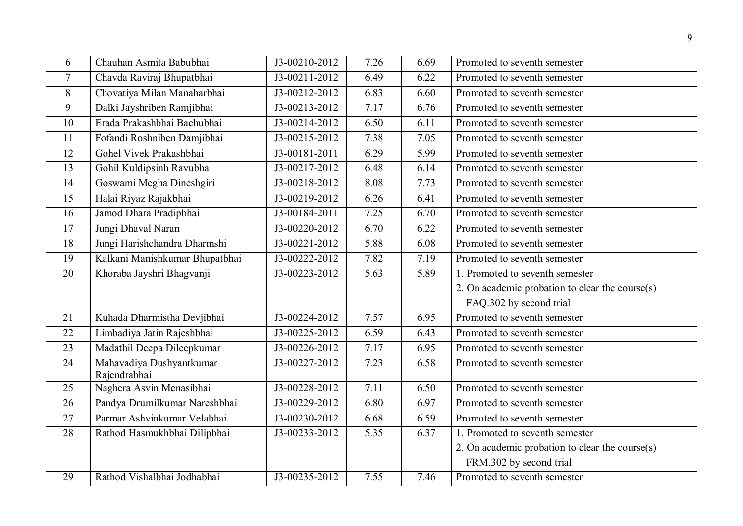| 6               | Chauhan Asmita Babubhai                  | J3-00210-2012               | 7.26 | 6.69 | Promoted to seventh semester                    |
|-----------------|------------------------------------------|-----------------------------|------|------|-------------------------------------------------|
| $\overline{7}$  | Chavda Raviraj Bhupatbhai                | J3-00211-2012               | 6.49 | 6.22 | Promoted to seventh semester                    |
| 8               | Chovatiya Milan Manaharbhai              | J3-00212-2012               | 6.83 | 6.60 | Promoted to seventh semester                    |
| 9               | Dalki Jayshriben Ramjibhai               | J3-00213-2012               | 7.17 | 6.76 | Promoted to seventh semester                    |
| 10              | Erada Prakashbhai Bachubhai              | J3-00214-2012               | 6.50 | 6.11 | Promoted to seventh semester                    |
| 11              | Fofandi Roshniben Damjibhai              | $\overline{J3-0021}$ 5-2012 | 7.38 | 7.05 | Promoted to seventh semester                    |
| 12              | Gohel Vivek Prakashbhai                  | J3-00181-2011               | 6.29 | 5.99 | Promoted to seventh semester                    |
| 13              | Gohil Kuldipsinh Ravubha                 | J3-00217-2012               | 6.48 | 6.14 | Promoted to seventh semester                    |
| 14              | Goswami Megha Dineshgiri                 | $\overline{J3-00218-2012}$  | 8.08 | 7.73 | Promoted to seventh semester                    |
| 15              | Halai Riyaz Rajakbhai                    | J3-00219-2012               | 6.26 | 6.41 | Promoted to seventh semester                    |
| 16              | Jamod Dhara Pradiphhai                   | J3-00184-2011               | 7.25 | 6.70 | Promoted to seventh semester                    |
| 17              | Jungi Dhaval Naran                       | J3-00220-2012               | 6.70 | 6.22 | Promoted to seventh semester                    |
| $\overline{18}$ | Jungi Harishchandra Dharmshi             | J3-00221-2012               | 5.88 | 6.08 | Promoted to seventh semester                    |
| 19              | Kalkani Manishkumar Bhupatbhai           | $\overline{J3-00222-2012}$  | 7.82 | 7.19 | Promoted to seventh semester                    |
| 20              | Khoraba Jayshri Bhagvanji                | J3-00223-2012               | 5.63 | 5.89 | 1. Promoted to seventh semester                 |
|                 |                                          |                             |      |      | 2. On academic probation to clear the course(s) |
|                 |                                          |                             |      |      | FAQ.302 by second trial                         |
| 21              | Kuhada Dharmistha Devjibhai              | J3-00224-2012               | 7.57 | 6.95 | Promoted to seventh semester                    |
| 22              | Limbadiya Jatin Rajeshbhai               | J3-00225-2012               | 6.59 | 6.43 | Promoted to seventh semester                    |
| 23              | Madathil Deepa Dileepkumar               | J3-00226-2012               | 7.17 | 6.95 | Promoted to seventh semester                    |
| 24              | Mahavadiya Dushyantkumar<br>Rajendrabhai | J3-00227-2012               | 7.23 | 6.58 | Promoted to seventh semester                    |
| 25              | Naghera Asvin Menasibhai                 | J3-00228-2012               | 7.11 | 6.50 | Promoted to seventh semester                    |
| 26              | Pandya Drumilkumar Nareshbhai            | J3-00229-2012               | 6.80 | 6.97 | Promoted to seventh semester                    |
| 27              | Parmar Ashvinkumar Velabhai              | J3-00230-2012               | 6.68 | 6.59 | Promoted to seventh semester                    |
| 28              | Rathod Hasmukhbhai Dilipbhai             | J3-00233-2012               | 5.35 | 6.37 | 1. Promoted to seventh semester                 |
|                 |                                          |                             |      |      | 2. On academic probation to clear the course(s) |
|                 |                                          |                             |      |      | FRM.302 by second trial                         |
| 29              | Rathod Vishalbhai Jodhabhai              | J3-00235-2012               | 7.55 | 7.46 | Promoted to seventh semester                    |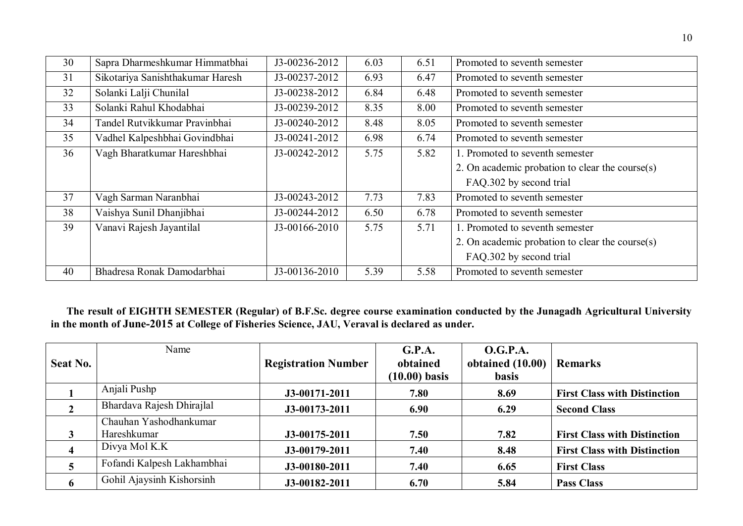| 30 | Sapra Dharmeshkumar Himmatbhai   | J3-00236-2012 | 6.03 | 6.51 | Promoted to seventh semester                    |  |
|----|----------------------------------|---------------|------|------|-------------------------------------------------|--|
| 31 | Sikotariya Sanishthakumar Haresh | J3-00237-2012 | 6.93 | 6.47 | Promoted to seventh semester                    |  |
| 32 | Solanki Lalji Chunilal           | J3-00238-2012 | 6.84 | 6.48 | Promoted to seventh semester                    |  |
| 33 | Solanki Rahul Khodabhai          | J3-00239-2012 | 8.35 | 8.00 | Promoted to seventh semester                    |  |
| 34 | Tandel Rutvikkumar Pravinbhai    | J3-00240-2012 | 8.48 | 8.05 | Promoted to seventh semester                    |  |
| 35 | Vadhel Kalpeshbhai Govindbhai    | J3-00241-2012 | 6.98 | 6.74 | Promoted to seventh semester                    |  |
| 36 | Vagh Bharatkumar Hareshbhai      | J3-00242-2012 | 5.75 | 5.82 | 1. Promoted to seventh semester                 |  |
|    |                                  |               |      |      | 2. On academic probation to clear the course(s) |  |
|    |                                  |               |      |      | FAQ.302 by second trial                         |  |
| 37 | Vagh Sarman Naranbhai            | J3-00243-2012 | 7.73 | 7.83 | Promoted to seventh semester                    |  |
| 38 | Vaishya Sunil Dhanjibhai         | J3-00244-2012 | 6.50 | 6.78 | Promoted to seventh semester                    |  |
| 39 | Vanavi Rajesh Jayantilal         | J3-00166-2010 | 5.75 | 5.71 | 1. Promoted to seventh semester                 |  |
|    |                                  |               |      |      | 2. On academic probation to clear the course(s) |  |
|    |                                  |               |      |      | FAQ.302 by second trial                         |  |
| 40 | Bhadresa Ronak Damodarbhai       | J3-00136-2010 | 5.39 | 5.58 | Promoted to seventh semester                    |  |

 **The result of EIGHTH SEMESTER (Regular) of B.F.Sc. degree course examination conducted by the Junagadh Agricultural University in the month of June-2015 at College of Fisheries Science, JAU, Veraval is declared as under.**

| <b>Seat No.</b>         | Name                       | <b>Registration Number</b> | G.P.A.<br>obtained<br>$(10.00)$ basis | <b>O.G.P.A.</b><br>obtained $(10.00)$<br><b>basis</b> | <b>Remarks</b>                      |
|-------------------------|----------------------------|----------------------------|---------------------------------------|-------------------------------------------------------|-------------------------------------|
|                         | Anjali Pushp               | J3-00171-2011              | 7.80                                  | 8.69                                                  | <b>First Class with Distinction</b> |
|                         | Bhardava Rajesh Dhirajlal  | J3-00173-2011              | 6.90                                  | 6.29                                                  | <b>Second Class</b>                 |
|                         | Chauhan Yashodhankumar     |                            |                                       |                                                       |                                     |
| 3                       | Hareshkumar                | J3-00175-2011              | 7.50                                  | 7.82                                                  | <b>First Class with Distinction</b> |
| $\overline{\mathbf{4}}$ | Divya Mol K.K              | J3-00179-2011              | 7.40                                  | 8.48                                                  | <b>First Class with Distinction</b> |
|                         | Fofandi Kalpesh Lakhambhai | J3-00180-2011              | 7.40                                  | 6.65                                                  | <b>First Class</b>                  |
| 6                       | Gohil Ajaysinh Kishorsinh  | J3-00182-2011              | 6.70                                  | 5.84                                                  | <b>Pass Class</b>                   |